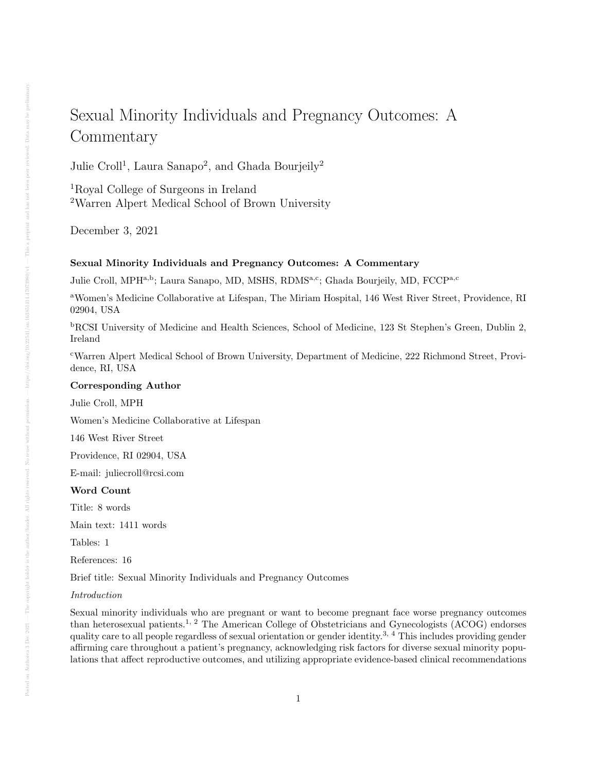# Sexual Minority Individuals and Pregnancy Outcomes: A **Commentary**

Julie Croll<sup>1</sup>, Laura Sanapo<sup>2</sup>, and Ghada Bourjeily<sup>2</sup>

<sup>1</sup>Royal College of Surgeons in Ireland <sup>2</sup>Warren Alpert Medical School of Brown University

December 3, 2021

# Sexual Minority Individuals and Pregnancy Outcomes: A Commentary

Julie Croll, MPH<sup>a,b</sup>; Laura Sanapo, MD, MSHS, RDMS<sup>a,c</sup>; Ghada Bourjeily, MD, FCCP<sup>a,c</sup>

<sup>a</sup>Women's Medicine Collaborative at Lifespan, The Miriam Hospital, 146 West River Street, Providence, RI 02904, USA

<sup>b</sup>RCSI University of Medicine and Health Sciences, School of Medicine, 123 St Stephen's Green, Dublin 2, Ireland

<sup>c</sup>Warren Alpert Medical School of Brown University, Department of Medicine, 222 Richmond Street, Providence, RI, USA

# Corresponding Author

Julie Croll, MPH

Women's Medicine Collaborative at Lifespan

146 West River Street

Providence, RI 02904, USA

E-mail: juliecroll@rcsi.com

#### Word Count

Title: 8 words

Main text: 1411 words

Tables: 1

References: 16

Brief title: Sexual Minority Individuals and Pregnancy Outcomes

# Introduction

Sexual minority individuals who are pregnant or want to become pregnant face worse pregnancy outcomes than heterosexual patients.1, 2 The American College of Obstetricians and Gynecologists (ACOG) endorses quality care to all people regardless of sexual orientation or gender identity.<sup>3, 4</sup> This includes providing gender affirming care throughout a patient's pregnancy, acknowledging risk factors for diverse sexual minority populations that affect reproductive outcomes, and utilizing appropriate evidence-based clinical recommendations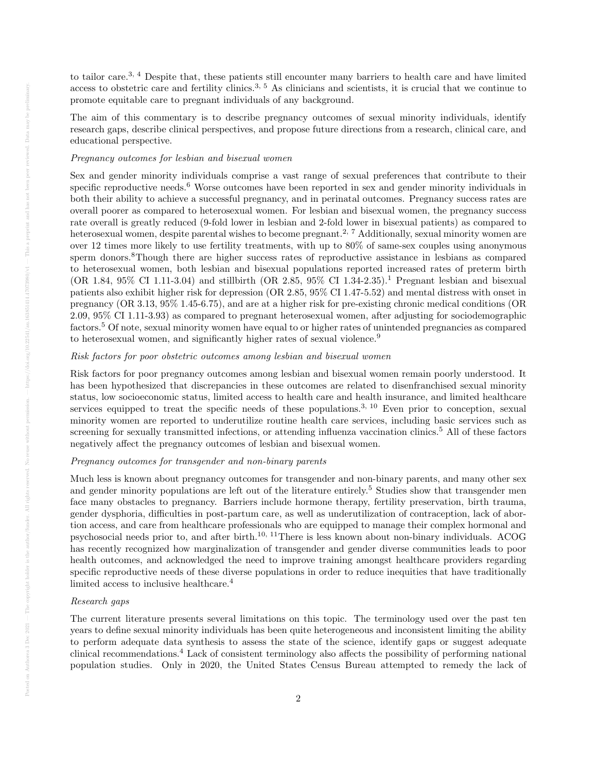to tailor care.3, 4 Despite that, these patients still encounter many barriers to health care and have limited access to obstetric care and fertility clinics.3, 5 As clinicians and scientists, it is crucial that we continue to promote equitable care to pregnant individuals of any background.

The aim of this commentary is to describe pregnancy outcomes of sexual minority individuals, identify research gaps, describe clinical perspectives, and propose future directions from a research, clinical care, and educational perspective.

#### Pregnancy outcomes for lesbian and bisexual women

Sex and gender minority individuals comprise a vast range of sexual preferences that contribute to their specific reproductive needs.<sup>6</sup> Worse outcomes have been reported in sex and gender minority individuals in both their ability to achieve a successful pregnancy, and in perinatal outcomes. Pregnancy success rates are overall poorer as compared to heterosexual women. For lesbian and bisexual women, the pregnancy success rate overall is greatly reduced (9-fold lower in lesbian and 2-fold lower in bisexual patients) as compared to heterosexual women, despite parental wishes to become pregnant.<sup>2, 7</sup> Additionally, sexual minority women are over 12 times more likely to use fertility treatments, with up to 80% of same-sex couples using anonymous sperm donors.<sup>8</sup>Though there are higher success rates of reproductive assistance in lesbians as compared to heterosexual women, both lesbian and bisexual populations reported increased rates of preterm birth (OR 1.84, 95% CI 1.11-3.04) and stillbirth (OR 2.85, 95% CI 1.34-2.35).<sup>1</sup> Pregnant lesbian and bisexual patients also exhibit higher risk for depression (OR 2.85, 95% CI 1.47-5.52) and mental distress with onset in pregnancy (OR 3.13, 95% 1.45-6.75), and are at a higher risk for pre-existing chronic medical conditions (OR 2.09, 95% CI 1.11-3.93) as compared to pregnant heterosexual women, after adjusting for sociodemographic factors.<sup>5</sup> Of note, sexual minority women have equal to or higher rates of unintended pregnancies as compared to heterosexual women, and significantly higher rates of sexual violence.<sup>9</sup>

#### Risk factors for poor obstetric outcomes among lesbian and bisexual women

Risk factors for poor pregnancy outcomes among lesbian and bisexual women remain poorly understood. It has been hypothesized that discrepancies in these outcomes are related to disenfranchised sexual minority status, low socioeconomic status, limited access to health care and health insurance, and limited healthcare services equipped to treat the specific needs of these populations.<sup>3, 10</sup> Even prior to conception, sexual minority women are reported to underutilize routine health care services, including basic services such as screening for sexually transmitted infections, or attending influenza vaccination clinics.<sup>5</sup> All of these factors negatively affect the pregnancy outcomes of lesbian and bisexual women.

# Pregnancy outcomes for transgender and non-binary parents

Much less is known about pregnancy outcomes for transgender and non-binary parents, and many other sex and gender minority populations are left out of the literature entirely.<sup>5</sup> Studies show that transgender men face many obstacles to pregnancy. Barriers include hormone therapy, fertility preservation, birth trauma, gender dysphoria, difficulties in post-partum care, as well as underutilization of contraception, lack of abortion access, and care from healthcare professionals who are equipped to manage their complex hormonal and psychosocial needs prior to, and after birth.10, 11There is less known about non-binary individuals. ACOG has recently recognized how marginalization of transgender and gender diverse communities leads to poor health outcomes, and acknowledged the need to improve training amongst healthcare providers regarding specific reproductive needs of these diverse populations in order to reduce inequities that have traditionally limited access to inclusive healthcare.<sup>4</sup>

# Research gaps

The current literature presents several limitations on this topic. The terminology used over the past ten years to define sexual minority individuals has been quite heterogeneous and inconsistent limiting the ability to perform adequate data synthesis to assess the state of the science, identify gaps or suggest adequate clinical recommendations.<sup>4</sup> Lack of consistent terminology also affects the possibility of performing national population studies. Only in 2020, the United States Census Bureau attempted to remedy the lack of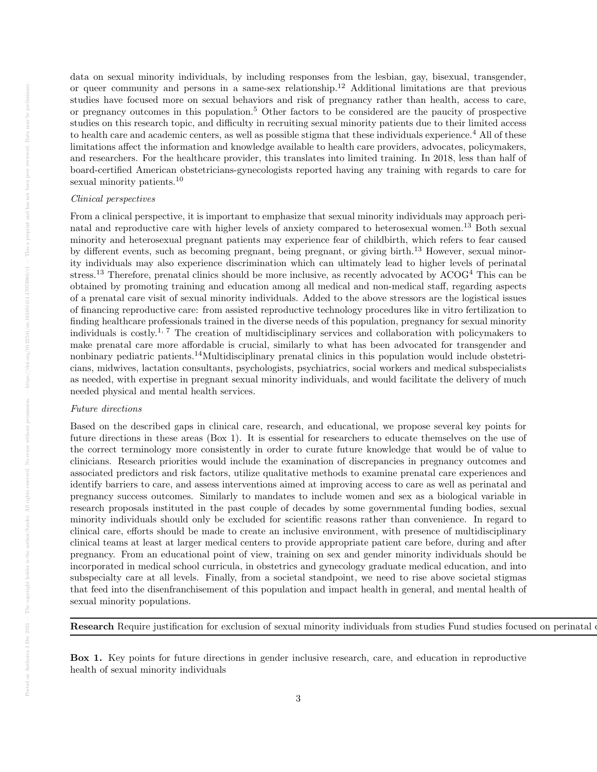data on sexual minority individuals, by including responses from the lesbian, gay, bisexual, transgender, or queer community and persons in a same-sex relationship.<sup>12</sup> Additional limitations are that previous studies have focused more on sexual behaviors and risk of pregnancy rather than health, access to care, or pregnancy outcomes in this population.<sup>5</sup> Other factors to be considered are the paucity of prospective studies on this research topic, and difficulty in recruiting sexual minority patients due to their limited access to health care and academic centers, as well as possible stigma that these individuals experience.<sup>4</sup> All of these limitations affect the information and knowledge available to health care providers, advocates, policymakers, and researchers. For the healthcare provider, this translates into limited training. In 2018, less than half of board-certified American obstetricians-gynecologists reported having any training with regards to care for sexual minority patients.<sup>10</sup>

#### Clinical perspectives

From a clinical perspective, it is important to emphasize that sexual minority individuals may approach perinatal and reproductive care with higher levels of anxiety compared to heterosexual women.<sup>13</sup> Both sexual minority and heterosexual pregnant patients may experience fear of childbirth, which refers to fear caused by different events, such as becoming pregnant, being pregnant, or giving birth.<sup>13</sup> However, sexual minority individuals may also experience discrimination which can ultimately lead to higher levels of perinatal stress.<sup>13</sup> Therefore, prenatal clinics should be more inclusive, as recently advocated by ACOG<sup>4</sup> This can be obtained by promoting training and education among all medical and non-medical staff, regarding aspects of a prenatal care visit of sexual minority individuals. Added to the above stressors are the logistical issues of financing reproductive care: from assisted reproductive technology procedures like in vitro fertilization to finding healthcare professionals trained in the diverse needs of this population, pregnancy for sexual minority individuals is costly.1, 7 The creation of multidisciplinary services and collaboration with policymakers to make prenatal care more affordable is crucial, similarly to what has been advocated for transgender and nonbinary pediatric patients.14Multidisciplinary prenatal clinics in this population would include obstetricians, midwives, lactation consultants, psychologists, psychiatrics, social workers and medical subspecialists as needed, with expertise in pregnant sexual minority individuals, and would facilitate the delivery of much needed physical and mental health services.

# Future directions

Based on the described gaps in clinical care, research, and educational, we propose several key points for future directions in these areas (Box 1). It is essential for researchers to educate themselves on the use of the correct terminology more consistently in order to curate future knowledge that would be of value to clinicians. Research priorities would include the examination of discrepancies in pregnancy outcomes and associated predictors and risk factors, utilize qualitative methods to examine prenatal care experiences and identify barriers to care, and assess interventions aimed at improving access to care as well as perinatal and pregnancy success outcomes. Similarly to mandates to include women and sex as a biological variable in research proposals instituted in the past couple of decades by some governmental funding bodies, sexual minority individuals should only be excluded for scientific reasons rather than convenience. In regard to clinical care, efforts should be made to create an inclusive environment, with presence of multidisciplinary clinical teams at least at larger medical centers to provide appropriate patient care before, during and after pregnancy. From an educational point of view, training on sex and gender minority individuals should be incorporated in medical school curricula, in obstetrics and gynecology graduate medical education, and into subspecialty care at all levels. Finally, from a societal standpoint, we need to rise above societal stigmas that feed into the disenfranchisement of this population and impact health in general, and mental health of sexual minority populations.

Research Require justification for exclusion of sexual minority individuals from studies Fund studies focused on perinatal

Box 1. Key points for future directions in gender inclusive research, care, and education in reproductive health of sexual minority individuals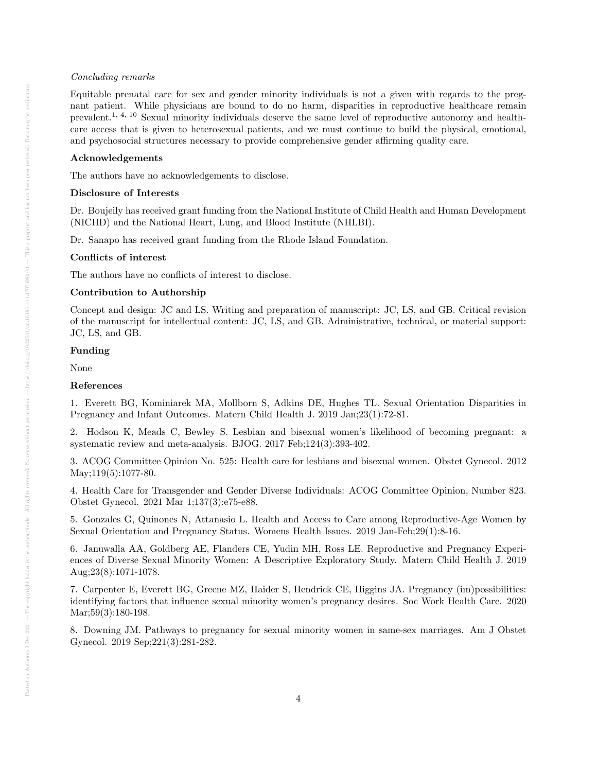#### Concluding remarks

Equitable prenatal care for sex and gender minority individuals is not a given with regards to the pregnant patient. While physicians are bound to do no harm, disparities in reproductive healthcare remain prevalent.1, 4, 10 Sexual minority individuals deserve the same level of reproductive autonomy and healthcare access that is given to heterosexual patients, and we must continue to build the physical, emotional, and psychosocial structures necessary to provide comprehensive gender affirming quality care.

# Acknowledgements

The authors have no acknowledgements to disclose.

#### Disclosure of Interests

Dr. Boujeily has received grant funding from the National Institute of Child Health and Human Development (NICHD) and the National Heart, Lung, and Blood Institute (NHLBI).

Dr. Sanapo has received grant funding from the Rhode Island Foundation.

#### Conflicts of interest

The authors have no conflicts of interest to disclose.

#### Contribution to Authorship

Concept and design: JC and LS. Writing and preparation of manuscript: JC, LS, and GB. Critical revision of the manuscript for intellectual content: JC, LS, and GB. Administrative, technical, or material support: JC, LS, and GB.

#### Funding

None

#### References

1. Everett BG, Kominiarek MA, Mollborn S, Adkins DE, Hughes TL. Sexual Orientation Disparities in Pregnancy and Infant Outcomes. Matern Child Health J. 2019 Jan;23(1):72-81.

2. Hodson K, Meads C, Bewley S. Lesbian and bisexual women's likelihood of becoming pregnant: a systematic review and meta-analysis. BJOG. 2017 Feb;124(3):393-402.

3. ACOG Committee Opinion No. 525: Health care for lesbians and bisexual women. Obstet Gynecol. 2012 May; 119(5): 1077-80.

4. Health Care for Transgender and Gender Diverse Individuals: ACOG Committee Opinion, Number 823. Obstet Gynecol. 2021 Mar 1;137(3):e75-e88.

5. Gonzales G, Quinones N, Attanasio L. Health and Access to Care among Reproductive-Age Women by Sexual Orientation and Pregnancy Status. Womens Health Issues. 2019 Jan-Feb;29(1):8-16.

6. Januwalla AA, Goldberg AE, Flanders CE, Yudin MH, Ross LE. Reproductive and Pregnancy Experiences of Diverse Sexual Minority Women: A Descriptive Exploratory Study. Matern Child Health J. 2019 Aug;23(8):1071-1078.

7. Carpenter E, Everett BG, Greene MZ, Haider S, Hendrick CE, Higgins JA. Pregnancy (im)possibilities: identifying factors that influence sexual minority women's pregnancy desires. Soc Work Health Care. 2020 Mar; 59(3): 180-198.

8. Downing JM. Pathways to pregnancy for sexual minority women in same-sex marriages. Am J Obstet Gynecol. 2019 Sep;221(3):281-282.